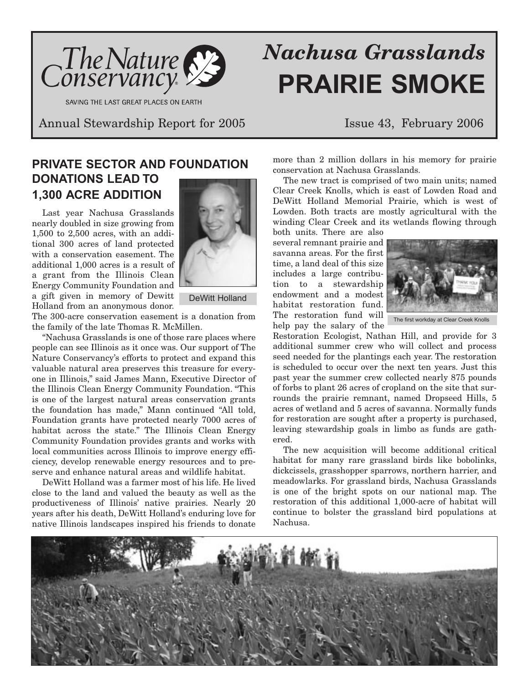

SAVING THE LAST GREAT PLACES ON EARTH

# *Nachusa Grasslands* **PRAIRIE SMOKE**

Annual Stewardship Report for 2005 Issue 43, February 2006

## **PRIVATE SECTOR AND FOUNDATION DONATIONS LEAD TO 1,300 ACRE ADDITION**

Last year Nachusa Grasslands nearly doubled in size growing from 1,500 to 2,500 acres, with an additional 300 acres of land protected with a conservation easement. The additional 1,000 acres is a result of a grant from the Illinois Clean Energy Community Foundation and a gift given in memory of Dewitt Holland from an anonymous donor.



DeWitt Holland

The 300-acre conservation easement is a donation from the family of the late Thomas R. McMillen.

"Nachusa Grasslands is one of those rare places where people can see Illinois as it once was. Our support of The Nature Conservancy's efforts to protect and expand this valuable natural area preserves this treasure for everyone in Illinois," said James Mann, Executive Director of the Illinois Clean Energy Community Foundation. "This is one of the largest natural areas conservation grants the foundation has made," Mann continued "All told, Foundation grants have protected nearly 7000 acres of habitat across the state." The Illinois Clean Energy Community Foundation provides grants and works with local communities across Illinois to improve energy efficiency, develop renewable energy resources and to preserve and enhance natural areas and wildlife habitat.

DeWitt Holland was a farmer most of his life. He lived close to the land and valued the beauty as well as the productiveness of Illinois' native prairies. Nearly 20 years after his death, DeWitt Holland's enduring love for native Illinois landscapes inspired his friends to donate more than 2 million dollars in his memory for prairie conservation at Nachusa Grasslands.

The new tract is comprised of two main units; named Clear Creek Knolls, which is east of Lowden Road and DeWitt Holland Memorial Prairie, which is west of Lowden. Both tracts are mostly agricultural with the winding Clear Creek and its wetlands flowing through

both units. There are also several remnant prairie and savanna areas. For the first time, a land deal of this size includes a large contribution to a stewardship endowment and a modest habitat restoration fund. The restoration fund will help pay the salary of the



Restoration Ecologist, Nathan Hill, and provide for 3 additional summer crew who will collect and process seed needed for the plantings each year. The restoration is scheduled to occur over the next ten years. Just this past year the summer crew collected nearly 875 pounds of forbs to plant 26 acres of cropland on the site that surrounds the prairie remnant, named Dropseed Hills, 5 acres of wetland and 5 acres of savanna. Normally funds for restoration are sought after a property is purchased, leaving stewardship goals in limbo as funds are gathered.

The new acquisition will become additional critical habitat for many rare grassland birds like bobolinks, dickcissels, grasshopper sparrows, northern harrier, and meadowlarks. For grassland birds, Nachusa Grasslands is one of the bright spots on our national map. The restoration of this additional 1,000-acre of habitat will continue to bolster the grassland bird populations at Nachusa.

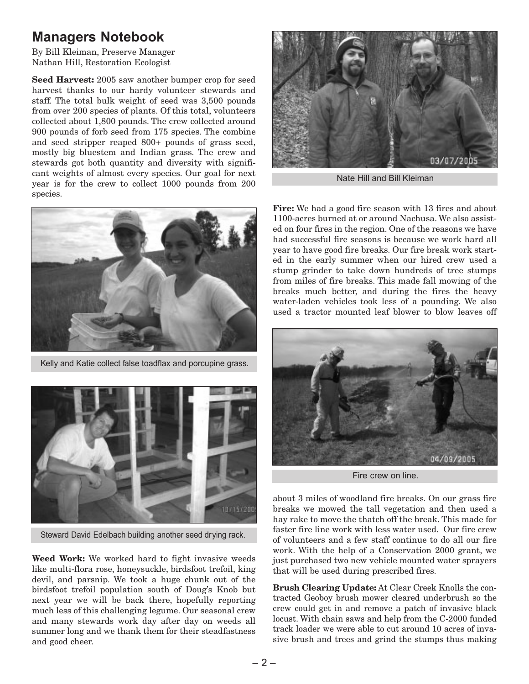## **Managers Notebook**

By Bill Kleiman, Preserve Manager Nathan Hill, Restoration Ecologist

**Seed Harvest:** 2005 saw another bumper crop for seed harvest thanks to our hardy volunteer stewards and staff. The total bulk weight of seed was 3,500 pounds from over 200 species of plants. Of this total, volunteers collected about 1,800 pounds. The crew collected around 900 pounds of forb seed from 175 species. The combine and seed stripper reaped 800+ pounds of grass seed, mostly big bluestem and Indian grass. The crew and stewards got both quantity and diversity with significant weights of almost every species. Our goal for next year is for the crew to collect 1000 pounds from 200 species.



Kelly and Katie collect false toadflax and porcupine grass.



Steward David Edelbach building another seed drying rack.

**Weed Work:** We worked hard to fight invasive weeds like multi-flora rose, honeysuckle, birdsfoot trefoil, king devil, and parsnip. We took a huge chunk out of the birdsfoot trefoil population south of Doug's Knob but next year we will be back there, hopefully reporting much less of this challenging legume. Our seasonal crew and many stewards work day after day on weeds all summer long and we thank them for their steadfastness and good cheer.



Nate Hill and Bill Kleiman

**Fire:** We had a good fire season with 13 fires and about 1100-acres burned at or around Nachusa. We also assisted on four fires in the region. One of the reasons we have had successful fire seasons is because we work hard all year to have good fire breaks. Our fire break work started in the early summer when our hired crew used a stump grinder to take down hundreds of tree stumps from miles of fire breaks. This made fall mowing of the breaks much better, and during the fires the heavy water-laden vehicles took less of a pounding. We also used a tractor mounted leaf blower to blow leaves off



Fire crew on line.

about 3 miles of woodland fire breaks. On our grass fire breaks we mowed the tall vegetation and then used a hay rake to move the thatch off the break. This made for faster fire line work with less water used. Our fire crew of volunteers and a few staff continue to do all our fire work. With the help of a Conservation 2000 grant, we just purchased two new vehicle mounted water sprayers that will be used during prescribed fires.

**Brush Clearing Update:** At Clear Creek Knolls the contracted Geoboy brush mower cleared underbrush so the crew could get in and remove a patch of invasive black locust. With chain saws and help from the C-2000 funded track loader we were able to cut around 10 acres of invasive brush and trees and grind the stumps thus making

 $-2-$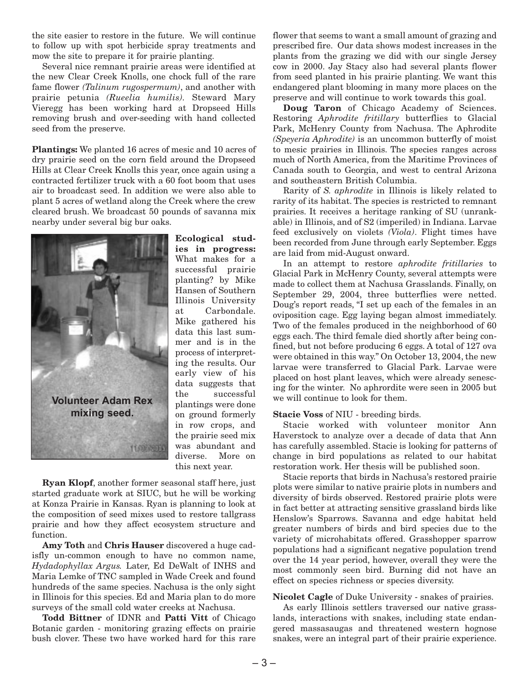the site easier to restore in the future. We will continue to follow up with spot herbicide spray treatments and mow the site to prepare it for prairie planting.

Several nice remnant prairie areas were identified at the new Clear Creek Knolls, one chock full of the rare fame flower *(Talinum rugospermum)*, and another with prairie petunia *(Rueelia humilis).* Steward Mary Vieregg has been working hard at Dropseed Hills removing brush and over-seeding with hand collected seed from the preserve.

**Plantings:** We planted 16 acres of mesic and 10 acres of dry prairie seed on the corn field around the Dropseed Hills at Clear Creek Knolls this year, once again using a contracted fertilizer truck with a 60 foot boom that uses air to broadcast seed. In addition we were also able to plant 5 acres of wetland along the Creek where the crew cleared brush. We broadcast 50 pounds of savanna mix nearby under several big bur oaks.



**Ecological studies in progress:** What makes for a successful prairie planting? by Mike Hansen of Southern Illinois University at Carbondale. Mike gathered his data this last summer and is in the process of interpreting the results. Our early view of his data suggests that the successful plantings were done on ground formerly in row crops, and the prairie seed mix was abundant and diverse. More on this next year.

**Ryan Klopf**, another former seasonal staff here, just started graduate work at SIUC, but he will be working at Konza Prairie in Kansas. Ryan is planning to look at the composition of seed mixes used to restore tallgrass prairie and how they affect ecosystem structure and function.

**Amy Toth** and **Chris Hauser** discovered a huge cadisfly un-common enough to have no common name, *Hydadophyllax Argus.* Later, Ed DeWalt of INHS and Maria Lemke of TNC sampled in Wade Creek and found hundreds of the same species. Nachusa is the only sight in Illinois for this species. Ed and Maria plan to do more surveys of the small cold water creeks at Nachusa.

**Todd Bittner** of IDNR and **Patti Vitt** of Chicago Botanic garden - monitoring grazing effects on prairie bush clover. These two have worked hard for this rare

flower that seems to want a small amount of grazing and prescribed fire. Our data shows modest increases in the plants from the grazing we did with our single Jersey cow in 2000. Jay Stacy also had several plants flower from seed planted in his prairie planting. We want this endangered plant blooming in many more places on the preserve and will continue to work towards this goal.

**Doug Taron** of Chicago Academy of Sciences. Restoring *Aphrodite fritillary* butterflies to Glacial Park, McHenry County from Nachusa. The Aphrodite *(Speyeria Aphrodite)* is an uncommon butterfly of moist to mesic prairies in Illinois. The species ranges across much of North America, from the Maritime Provinces of Canada south to Georgia, and west to central Arizona and southeastern British Columbia.

Rarity of *S. aphrodite* in Illinois is likely related to rarity of its habitat. The species is restricted to remnant prairies. It receives a heritage ranking of SU (unrankable) in Illinois, and of S2 (imperiled) in Indiana. Larvae feed exclusively on violets *(Viola)*. Flight times have been recorded from June through early September. Eggs are laid from mid-August onward.

In an attempt to restore *aphrodite fritillaries* to Glacial Park in McHenry County, several attempts were made to collect them at Nachusa Grasslands. Finally, on September 29, 2004, three butterflies were netted. Doug's report reads, "I set up each of the females in an oviposition cage. Egg laying began almost immediately. Two of the females produced in the neighborhood of 60 eggs each. The third female died shortly after being confined, but not before producing 6 eggs. A total of 127 ova were obtained in this way." On October 13, 2004, the new larvae were transferred to Glacial Park. Larvae were placed on host plant leaves, which were already senescing for the winter. No aphrordite were seen in 2005 but we will continue to look for them.

#### **Stacie Voss** of NIU - breeding birds.

Stacie worked with volunteer monitor Ann Haverstock to analyze over a decade of data that Ann has carefully assembled. Stacie is looking for patterns of change in bird populations as related to our habitat restoration work. Her thesis will be published soon.

Stacie reports that birds in Nachusa's restored prairie plots were similar to native prairie plots in numbers and diversity of birds observed. Restored prairie plots were in fact better at attracting sensitive grassland birds like Henslow's Sparrows. Savanna and edge habitat held greater numbers of birds and bird species due to the variety of microhabitats offered. Grasshopper sparrow populations had a significant negative population trend over the 14 year period, however, overall they were the most commonly seen bird. Burning did not have an effect on species richness or species diversity.

### **Nicolet Cagle** of Duke University - snakes of prairies.

As early Illinois settlers traversed our native grasslands, interactions with snakes, including state endangered massasaugas and threatened western hognose snakes, were an integral part of their prairie experience.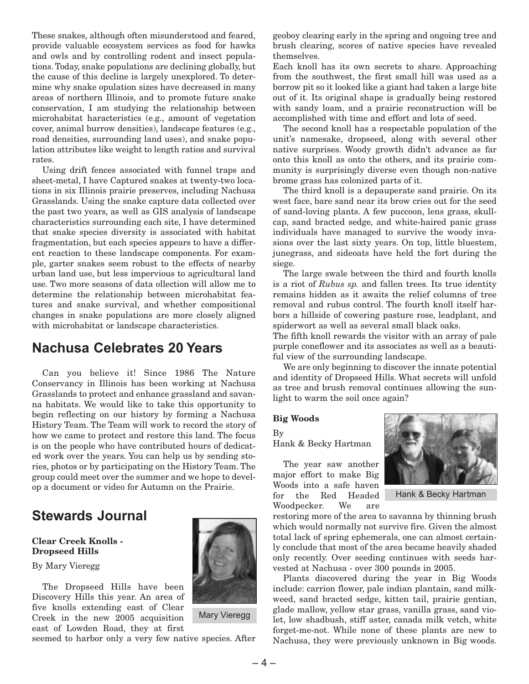These snakes, although often misunderstood and feared, provide valuable ecosystem services as food for hawks and owls and by controlling rodent and insect populations. Today, snake populations are declining globally, but the cause of this decline is largely unexplored. To determine why snake opulation sizes have decreased in many areas of northern Illinois, and to promote future snake conservation, I am studying the relationship between microhabitat haracteristics (e.g., amount of vegetation cover, animal burrow densities), landscape features (e.g., road densities, surrounding land uses), and snake population attributes like weight to length ratios and survival rates.

Using drift fences associated with funnel traps and sheet-metal, I have Captured snakes at twenty-two locations in six Illinois prairie preserves, including Nachusa Grasslands. Using the snake capture data collected over the past two years, as well as GIS analysis of landscape characteristics surrounding each site, I have determined that snake species diversity is associated with habitat fragmentation, but each species appears to have a different reaction to these landscape components. For example, garter snakes seem robust to the effects of nearby urban land use, but less impervious to agricultural land use. Two more seasons of data ollection will allow me to determine the relationship between microhabitat features and snake survival, and whether compositional changes in snake populations are more closely aligned with microhabitat or landscape characteristics.

## **Nachusa Celebrates 20 Years**

Can you believe it! Since 1986 The Nature Conservancy in Illinois has been working at Nachusa Grasslands to protect and enhance grassland and savanna habitats. We would like to take this opportunity to begin reflecting on our history by forming a Nachusa History Team. The Team will work to record the story of how we came to protect and restore this land. The focus is on the people who have contributed hours of dedicated work over the years. You can help us by sending stories, photos or by participating on the History Team. The group could meet over the summer and we hope to develop a document or video for Autumn on the Prairie.

## **Stewards Journal**

### **Clear Creek Knolls - Dropseed Hills**

By Mary Vieregg

The Dropseed Hills have been Discovery Hills this year. An area of five knolls extending east of Clear Creek in the new 2005 acquisition east of Lowden Road, they at first

seemed to harbor only a very few native species. After



Mary Vieregg

geoboy clearing early in the spring and ongoing tree and brush clearing, scores of native species have revealed themselves.

Each knoll has its own secrets to share. Approaching from the southwest, the first small hill was used as a borrow pit so it looked like a giant had taken a large bite out of it. Its original shape is gradually being restored with sandy loam, and a prairie reconstruction will be accomplished with time and effort and lots of seed.

The second knoll has a respectable population of the unit's namesake, dropseed, along with several other native surprises. Woody growth didn't advance as far onto this knoll as onto the others, and its prairie community is surprisingly diverse even though non-native brome grass has colonized parts of it.

The third knoll is a depauperate sand prairie. On its west face, bare sand near its brow cries out for the seed of sand-loving plants. A few puccoon, lens grass, skullcap, sand bracted sedge, and white-haired panic grass individuals have managed to survive the woody invasions over the last sixty years. On top, little bluestem, junegrass, and sideoats have held the fort during the siege.

The large swale between the third and fourth knolls is a riot of *Rubus sp.* and fallen trees. Its true identity remains hidden as it awaits the relief columns of tree removal and rubus control. The fourth knoll itself harbors a hillside of cowering pasture rose, leadplant, and spiderwort as well as several small black oaks.

The fifth knoll rewards the visitor with an array of pale purple coneflower and its associates as well as a beautiful view of the surrounding landscape.

We are only beginning to discover the innate potential and identity of Dropseed Hills. What secrets will unfold as tree and brush removal continues allowing the sunlight to warm the soil once again?

### **Big Woods**

By Hank & Becky Hartman

The year saw another major effort to make Big Woods into a safe haven for the Red Headed Woodpecker. We are



Hank & Becky Hartman

restoring more of the area to savanna by thinning brush which would normally not survive fire. Given the almost total lack of spring ephemerals, one can almost certainly conclude that most of the area became heavily shaded only recently. Over seeding continues with seeds harvested at Nachusa - over 300 pounds in 2005.

Plants discovered during the year in Big Woods include: carrion flower, pale indian plantain, sand milkweed, sand bracted sedge, kitten tail, prairie gentian, glade mallow, yellow star grass, vanilla grass, sand violet, low shadbush, stiff aster, canada milk vetch, white forget-me-not. While none of these plants are new to Nachusa, they were previously unknown in Big woods.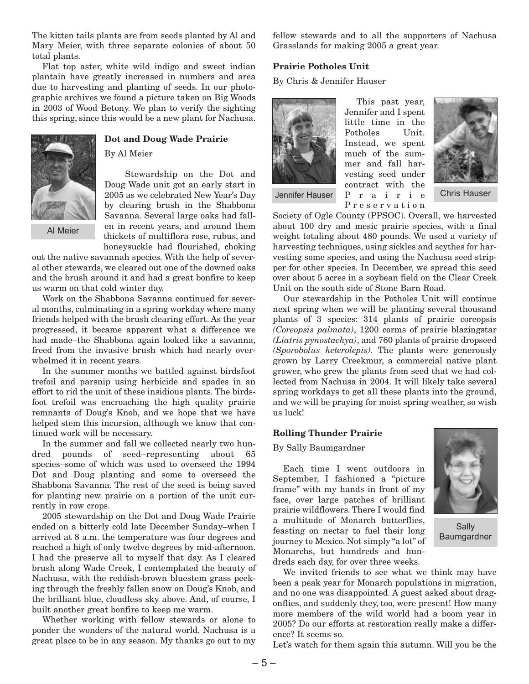The kitten tails plants are from seeds planted by Al and Mary Meier, with three separate colonies of about 50 total plants.

Flat top aster, white wild indigo and sweet indian plantain have greatly increased in numbers and area due to harvesting and planting of seeds. In our photographic archives we found a picture taken on Big Woods in 2003 of Wood Betony. We plan to verify the sighting this spring, since this would be a new plant for Nachusa.



### **Dot and Doug Wade Prairie**

By Al Meier

Stewardship on the Dot and Doug Wade unit got an early start in 2005 as we celebrated New Year's Day by clearing brush in the Shabbona Savanna. Several large oaks had fallen in recent years, and around them thickets of multiflora rose, rubus, and honeysuckle had flourished, choking

Al Meier

out the native savannah species. With the help of several other stewards, we cleared out one of the downed oaks and the brush around it and had a great bonfire to keep us warm on that cold winter day.

Work on the Shabbona Savanna continued for several months, culminating in a spring workday where many friends helped with the brush clearing effort. As the year progressed, it became apparent what a difference we had made–the Shabbona again looked like a savanna, freed from the invasive brush which had nearly overwhelmed it in recent years.

In the summer months we battled against birdsfoot trefoil and parsnip using herbicide and spades in an effort to rid the unit of these insidious plants. The birdsfoot trefoil was encroaching the high quality prairie remnants of Doug's Knob, and we hope that we have helped stem this incursion, although we know that continued work will be necessary.

In the summer and fall we collected nearly two hundred pounds of seed–representing about 65 species–some of which was used to overseed the 1994 Dot and Doug planting and some to overseed the Shabbona Savanna. The rest of the seed is being saved for planting new prairie on a portion of the unit currently in row crops.

2005 stewardship on the Dot and Doug Wade Prairie ended on a bitterly cold late December Sunday–when I arrived at 8 a.m. the temperature was four degrees and reached a high of only twelve degrees by mid-afternoon. I had the preserve all to myself that day. As I cleared brush along Wade Creek, I contemplated the beauty of Nachusa, with the reddish-brown bluestem grass peeking through the freshly fallen snow on Doug's Knob, and the brilliant blue, cloudless sky above. And, of course, I built another great bonfire to keep me warm.

Whether working with fellow stewards or alone to ponder the wonders of the natural world, Nachusa is a great place to be in any season. My thanks go out to my

fellow stewards and to all the supporters of Nachusa Grasslands for making 2005 a great year.

### **Prairie Potholes Unit**

By Chris & Jennifer Hauser



This past year, Jennifer and I spent little time in the Potholes Unit. Instead, we spent much of the summer and fall harvesting seed under contract with the



Jennifer Hauser P r a i r i e Chris Hauser Preservation Society of Ogle County (PPSOC). Overall, we harvested about 100 dry and mesic prairie species, with a final weight totaling about 480 pounds. We used a variety of harvesting techniques, using sickles and scythes for harvesting some species, and using the Nachusa seed stripper for other species. In December, we spread this seed over about 5 acres in a soybean field on the Clear Creek Unit on the south side of Stone Barn Road.

Our stewardship in the Potholes Unit will continue next spring when we will be planting several thousand plants of 3 species: 314 plants of prairie coreopsis *(Coreopsis palmata)*, 1200 corms of prairie blazingstar *(Liatris pynostachya)*, and 760 plants of prairie dropseed *(Sporobolus heterolepis).* The plants were generously grown by Larry Creekmur, a commercial native plant grower, who grew the plants from seed that we had collected from Nachusa in 2004. It will likely take several spring workdays to get all these plants into the ground, and we will be praying for moist spring weather, so wish us luck!

### **Rolling Thunder Prairie**

By Sally Baumgardner

Each time I went outdoors in September, I fashioned a "picture frame" with my hands in front of my face, over large patches of brilliant prairie wildflowers. There I would find a multitude of Monarch butterflies, feasting on nectar to fuel their long journey to Mexico. Not simply "a lot" of Monarchs, but hundreds and hundreds each day, for over three weeks.



Sally **Baumgardner** 

We invited friends to see what we think may have been a peak year for Monarch populations in migration, and no one was disappointed. A guest asked about dragonflies, and suddenly they, too, were present! How many more members of the wild world had a boom year in 2005? Do our efforts at restoration really make a difference? It seems so.

Let's watch for them again this autumn. Will you be the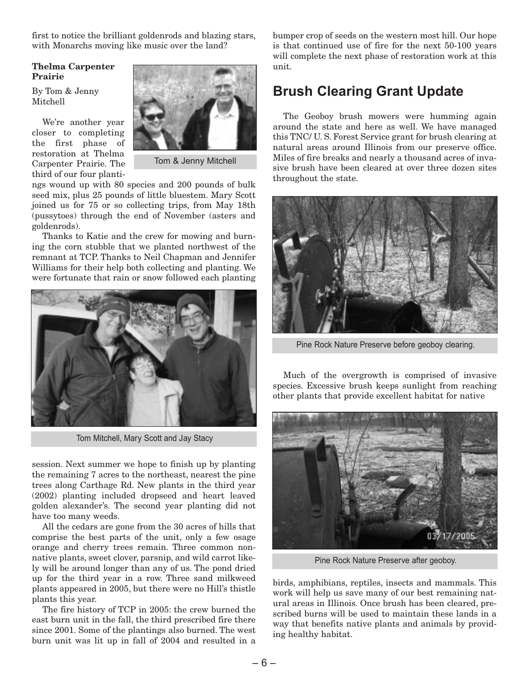first to notice the brilliant goldenrods and blazing stars, with Monarchs moving like music over the land?

### **Thelma Carpenter Prairie**

By Tom & Jenny Mitchell

We're another year closer to completing the first phase of restoration at Thelma Carpenter Prairie. The third of our four planti-



Tom & Jenny Mitchell

ngs wound up with 80 species and 200 pounds of bulk seed mix, plus 25 pounds of little bluestem. Mary Scott joined us for 75 or so collecting trips, from May 18th (pussytoes) through the end of November (asters and goldenrods).

Thanks to Katie and the crew for mowing and burning the corn stubble that we planted northwest of the remnant at TCP. Thanks to Neil Chapman and Jennifer Williams for their help both collecting and planting. We were fortunate that rain or snow followed each planting



Tom Mitchell, Mary Scott and Jay Stacy

session. Next summer we hope to finish up by planting the remaining 7 acres to the northeast, nearest the pine trees along Carthage Rd. New plants in the third year (2002) planting included dropseed and heart leaved golden alexander's. The second year planting did not have too many weeds.

All the cedars are gone from the 30 acres of hills that comprise the best parts of the unit, only a few osage orange and cherry trees remain. Three common nonnative plants, sweet clover, parsnip, and wild carrot likely will be around longer than any of us. The pond dried up for the third year in a row. Three sand milkweed plants appeared in 2005, but there were no Hill's thistle plants this year.

The fire history of TCP in 2005: the crew burned the east burn unit in the fall, the third prescribed fire there since 2001. Some of the plantings also burned. The west burn unit was lit up in fall of 2004 and resulted in a bumper crop of seeds on the western most hill. Our hope is that continued use of fire for the next 50-100 years will complete the next phase of restoration work at this unit.

## **Brush Clearing Grant Update**

The Geoboy brush mowers were humming again around the state and here as well. We have managed this TNC/ U. S. Forest Service grant for brush clearing at natural areas around Illinois from our preserve office. Miles of fire breaks and nearly a thousand acres of invasive brush have been cleared at over three dozen sites throughout the state.



Pine Rock Nature Preserve before geoboy clearing.

Much of the overgrowth is comprised of invasive species. Excessive brush keeps sunlight from reaching other plants that provide excellent habitat for native



Pine Rock Nature Preserve after geoboy.

birds, amphibians, reptiles, insects and mammals. This work will help us save many of our best remaining natural areas in Illinois. Once brush has been cleared, prescribed burns will be used to maintain these lands in a way that benefits native plants and animals by providing healthy habitat.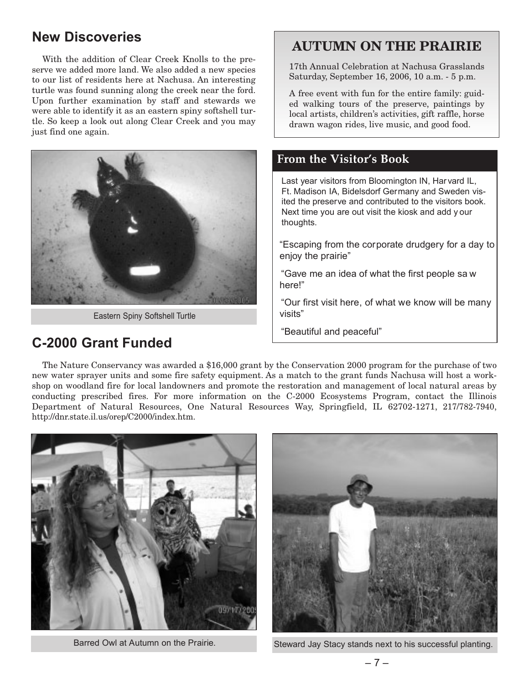## **New Discoveries**

With the addition of Clear Creek Knolls to the preserve we added more land. We also added a new species to our list of residents here at Nachusa. An interesting turtle was found sunning along the creek near the ford. Upon further examination by staff and stewards we were able to identify it as an eastern spiny softshell turtle. So keep a look out along Clear Creek and you may just find one again.



Eastern Spiny Softshell Turtle

## **C-2000 Grant Funded**

## **AUTUMN ON THE PRAIRIE**

17th Annual Celebration at Nachusa Grasslands Saturday, September 16, 2006, 10 a.m. - 5 p.m.

A free event with fun for the entire family: guided walking tours of the preserve, paintings by local artists, children's activities, gift raffle, horse drawn wagon rides, live music, and good food.

### **From the Visitor's Book**

Last year visitors from Bloomington IN, Har vard IL, Ft. Madison IA, Bidelsdorf Germany and Sweden visited the preserve and contributed to the visitors book. Next time you are out visit the kiosk and add y our thoughts.

"Escaping from the corporate drudgery for a day to enjoy the prairie"

"Gave me an idea of what the first people sa w here!"

"Our first visit here, of what we know will be many visits"

"Beautiful and peaceful"

The Nature Conservancy was awarded a \$16,000 grant by the Conservation 2000 program for the purchase of two new water sprayer units and some fire safety equipment. As a match to the grant funds Nachusa will host a workshop on woodland fire for local landowners and promote the restoration and management of local natural areas by conducting prescribed fires. For more information on the C-2000 Ecosystems Program, contact the Illinois Department of Natural Resources, One Natural Resources Way, Springfield, IL 62702-1271, 217/782-7940, http://dnr.state.il.us/orep/C2000/index.htm.





Barred Owl at Autumn on the Prairie. Steward Jay Stacy stands next to his successful planting.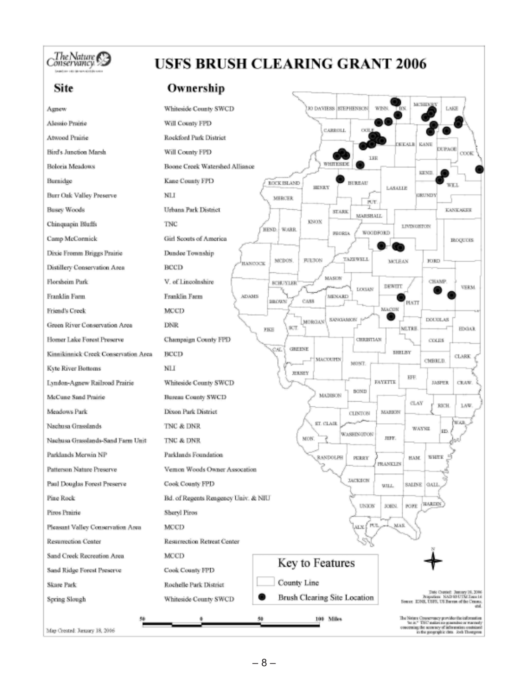## Conservancy

## **USFS BRUSH CLEARING GRANT 2006**

### Ownership

| Site                                 | Ownership                                                                                                                                   |
|--------------------------------------|---------------------------------------------------------------------------------------------------------------------------------------------|
| Agnew                                | <b>MCSHEMEY</b><br>K) DAVIESS STEPHENSON<br>WEEK<br><b>LAKE</b><br><b>TBIN</b><br>Whiteside County SWCD                                     |
| Alessio Prairie                      | Will County FPD                                                                                                                             |
| Atwood Prairie                       | OCIL)<br>CARROLL<br>Rockford Park District                                                                                                  |
| Bird's Junction Marsh.               | DEEALR KANE<br><b>DUPAGE</b><br>Will County FPD<br>COOK                                                                                     |
| Boloria Meadows                      | <b>IEE</b><br>WHITESIDE<br>Boone Creek Watershed Alliance                                                                                   |
| Burnidge                             | KEND.<br>Kane County FPD<br>LOCK ISLAND<br>BURBAU<br>WEL.                                                                                   |
| <b>Burr Oak Valley Preserve</b>      | HENRY<br>LASALLE<br>NLI<br>GRUNDY<br><b>MERCER</b>                                                                                          |
| <b>Busey Woods</b>                   | FUT.<br>Urbana Park District<br><b>EANEARIE</b><br><b>STARK</b>                                                                             |
| Chinquapin Bluffs                    | MARSHALL.<br>KNOX<br>TNC<br>LIVINUSTON                                                                                                      |
| Camp McConnick                       | WARR.<br>HEND.<br><b>WOODFORD</b><br><b>PEORLA</b><br>Girl Scouts of America<br><b>BLOQUIDES</b>                                            |
| Dixie Fromm Briggs Prairie           | Dundee Township                                                                                                                             |
| Distillery Conservation Area         | <b>TAZEWELL</b><br><b>FULTON</b><br>MCDON.<br><b>JURD</b><br><b>MCLEAN</b><br>HANDOCK<br>BCCD                                               |
| Florsheim Park                       | MASON<br>V. of Lincolnshire<br>CHAMP<br><b>SCHUYLER</b><br>DEWITT<br><b>VERM</b>                                                            |
| Franklin Farm                        | LOOKS<br>Franklin Farm<br><b>ADAMS</b><br><b>MENARD</b><br>CAS3<br><b>FROWN</b>                                                             |
| Friend's Creek                       | PIATT<br>MACON<br>MCCD                                                                                                                      |
| Green River Conservation Area        | SANGAMON<br><b>DOUGLAS</b><br>MORGAN<br><b>DNR</b><br>SCT.<br><b>MLTRS</b><br><b>EDGAR</b><br>FIKE                                          |
| Homer Lake Forest Preserve           | Champaign County FPD<br>CHRISTIAN<br><b>COLES</b>                                                                                           |
| Kinnikinnick Creek Conservation Area | <b>GREENE</b><br>CAL.<br><b>SHELBY</b><br>BCCD<br><b>CLARK</b><br><b>F MACOUPIN</b>                                                         |
| Kyte River Bottoms                   | <b>CMBRLD</b><br>MONT.<br>NLI<br><b>JERSEY</b>                                                                                              |
| Lyndon-Agnew Railroad Prairie        | EFF.<br><b>FAYETTE</b><br>CRAW.<br>Whiteside County SWCD<br><b>JANTIK</b>                                                                   |
| McCune Sand Prairie                  | <b>BOND</b><br><b>MADISON</b><br><b>Bureau County SWCD</b><br><b>CLAY</b>                                                                   |
| Meadows Park                         | <b>1AW</b><br>RICH.<br>Dixon Park District<br><b>MAILICEV</b><br><b>CLINTON</b>                                                             |
| Nachusa Grasslands                   | WAR.<br>ST. CLAIR<br>TNC & DNR<br>WAYNE<br>ED.                                                                                              |
| Nachusa Grasslands-Sand Farm Unit    | WASHIN OTTOM<br>NON.<br>JIFF.<br>TNC & DNR                                                                                                  |
| Parklands Merwin NP                  | Parklands Foundation<br><b>WHITE</b><br>RANDOLPH<br>PERRY<br>HAM.                                                                           |
| Patterson Nature Preserve            | PRANKLIN<br>Vemon Woods Owner Assocation                                                                                                    |
| Paul Douglas Forest Preserve         | <b>JACKSON</b><br>Cook County FPD<br><b>SALINE GALI</b><br>WILL.                                                                            |
| Pine Rock                            | Bd. of Regents Rengency Univ. & NIU<br><b>HARDIN</b><br><b>UNION</b><br>JOHN.<br>POPE                                                       |
| Piros Prairie                        | <b>Sheryl Piros</b>                                                                                                                         |
| Pleasant Valley Conservation Area    | MAS.<br>PUL<br>MCCD<br>ALX.                                                                                                                 |
| Resurrection Center                  | <b>Resurrection Retreat Center</b>                                                                                                          |
| Sand Creek Recreation Area.          | MCCD<br>Key to Features                                                                                                                     |
| Sand Ridge Forest Preserve           | Cook County FPD                                                                                                                             |
| Skare Park                           | County Line<br>Rochelle Park District<br>Date Crested: January 16, 2006                                                                     |
| Spring Slough                        | Brush Clearing Site Location<br>Projection: NAD 89 UTM Zage 16<br>Whiteside County SWCD<br>Sonxe ENR, USPS, US Berran of the Cenna.<br>-col |
|                                      | The Nature Conservancy provides the information<br>48<br>100 Milles<br>"he is." TIVC makes no generalize or warranty                        |
| Map Crented: January 18, 2006        | concerning the scorney of informators contained<br>in the geographic clata. Josh Thompson                                                   |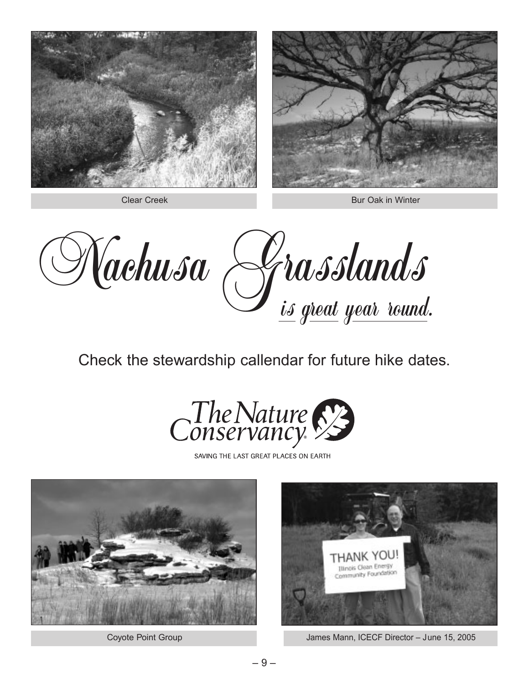

Clear Creek

Bur Oak in Winter

Nachusa Grasslands

Check the stewardship callendar for future hike dates.



SAVING THE LAST GREAT PLACES ON EARTH



Coyote Point Group



James Mann, ICECF Director – June 15, 2005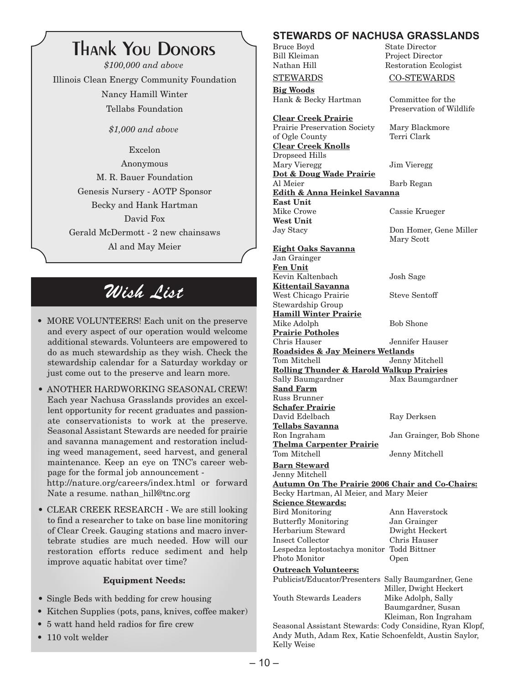## **Thank You Donors**

*\$100,000 and above* Illinois Clean Energy Community Foundation Nancy Hamill Winter Tellabs Foundation

*\$1,000 and above*

Excelon Anonymous M. R. Bauer Foundation Genesis Nursery - AOTP Sponsor Becky and Hank Hartman David Fox Gerald McDermott - 2 new chainsaws Al and May Meier

## Wish List

- MORE VOLUNTEERS! Each unit on the preserve and every aspect of our operation would welcome additional stewards. Volunteers are empowered to do as much stewardship as they wish. Check the stewardship calendar for a Saturday workday or just come out to the preserve and learn more.
- ANOTHER HARDWORKING SEASONAL CREW! Each year Nachusa Grasslands provides an excellent opportunity for recent graduates and passionate conservationists to work at the preserve. Seasonal Assistant Stewards are needed for prairie and savanna management and restoration including weed management, seed harvest, and general maintenance. Keep an eye on TNC's career webpage for the formal job announcement http://nature.org/careers/index.html or forward Nate a resume. nathan\_hill@tnc.org
- CLEAR CREEK RESEARCH We are still looking to find a researcher to take on base line monitoring of Clear Creek. Gauging stations and macro invertebrate studies are much needed. How will our restoration efforts reduce sediment and help improve aquatic habitat over time?

### **Equipment Needs:**

- Single Beds with bedding for crew housing
- Kitchen Supplies (pots, pans, knives, coffee maker)
- 5 watt hand held radios for fire crew
- 110 volt welder

#### **STEWARDS OF NACHUSA GRASSLANDS**<br>Bruce Bovd State Director State Director

Restoration Ecologist

Preservation of Wildlife

Mary Scott

Bill Kleiman Project Director

STEWARDS CO-STEWARDS

**Big Woods** Hank & Becky Hartman Committee for the

**Clear Creek Prairie** Prairie Preservation Society Mary Blackmore of Ogle County Terri Clark **Clear Creek Knolls** Dropseed Hills Mary Vieregg Jim Vieregg **Dot & Doug Wade Prairie** Al Meier Barb Regan **Edith & Anna Heinkel Savanna East Unit** Mike Crowe Cassie Krueger **West Unit** Jay Stacy Don Homer, Gene Miller

**Eight Oaks Savanna** Jan Grainger **Fen Unit** Kevin Kaltenbach Josh Sage **Kittentail Savanna** West Chicago Prairie Steve Sentoff Stewardship Group **Hamill Winter Prairie** Mike Adolph Bob Shone **Prairie Potholes** Chris Hauser Jennifer Hauser **Roadsides & Jay Meiners Wetlands** Jenny Mitchell **Rolling Thunder & Harold Walkup Prairies** Sally Baumgardner **Sand Farm** Russ Brunner **Schafer Prairie** David Edelbach Ray Derksen **Tellabs Savanna** Ron Ingraham Jan Grainger, Bob Shone **Thelma Carpenter Prairie** Tom Mitchell Jenny Mitchell **Barn Steward** Jenny Mitchell **Autumn On The Prairie 2006 Chair and Co-Chairs:** Becky Hartman, Al Meier, and Mary Meier **Science Stewards:** Bird Monitoring Ann Haverstock Butterfly Monitoring Jan Grainger Herbarium Steward Dwight Heckert Insect Collector Chris Hauser Lespedza leptostachya monitor Todd Bittner Photo Monitor Open **Outreach Volunteers:** Publicist/Educator/Presenters Sally Baumgardner, Gene Miller, Dwight Heckert Youth Stewards Leaders Baumgardner, Susan Kleiman, Ron Ingraham

Seasonal Assistant Stewards: Cody Considine, Ryan Klopf, Andy Muth, Adam Rex, Katie Schoenfeldt, Austin Saylor, Kelly Weise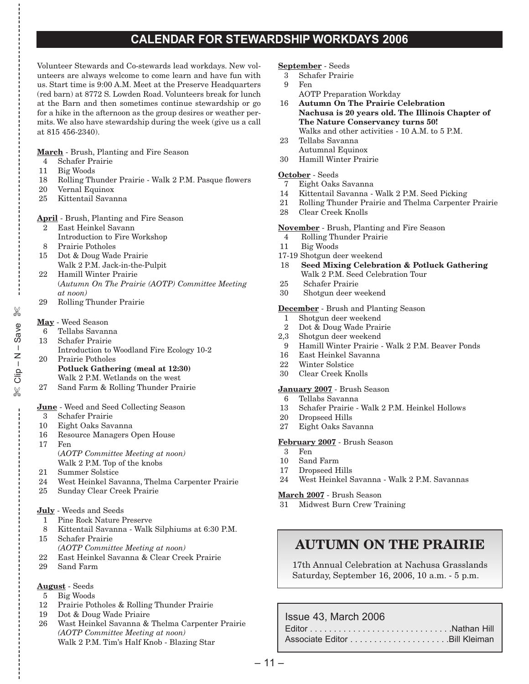### **CALENDAR FOR STEWARDSHIP WORKDAYS 2006**

Volunteer Stewards and Co-stewards lead workdays. New volunteers are always welcome to come learn and have fun with us. Start time is 9:00 A.M. Meet at the Preserve Headquarters (red barn) at 8772 S. Lowden Road. Volunteers break for lunch at the Barn and then sometimes continue stewardship or go for a hike in the afternoon as the group desires or weather permits. We also have stewardship during the week (give us a call at 815 456-2340).

**March** - Brush, Planting and Fire Season

- 4 Schafer Prairie
- 11 Big Woods
- 18 Rolling Thunder Prairie Walk 2 P.M. Pasque flowers
- 20 Vernal Equinox
- 25 Kittentail Savanna

**April** - Brush, Planting and Fire Season

- 2 East Heinkel Savann
- Introduction to Fire Workshop 8 Prairie Potholes
- 
- 15 Dot & Doug Wade Prairie Walk 2 P.M. Jack-in-the-Pulpit
- 22 Hamill Winter Prairie (*Autumn On The Prairie (AOTP) Committee Meeting at noon)*
- 29 Rolling Thunder Prairie

### **May** - Weed Season

- 6 Tellabs Savanna
- 13 Schafer Prairie
- Introduction to Woodland Fire Ecology 10-2
- 20 Prairie Potholes **Potluck Gathering (meal at 12:30)** Walk 2 P.M. Wetlands on the west
- 27 Sand Farm & Rolling Thunder Prairie

### **June** - Weed and Seed Collecting Season

3 Schafer Prairie

✄

e<br>%<br>%<br>%

✄

- 10 Eight Oaks Savanna
- 16 Resource Managers Open House
- 17 Fen (*AOTP Committee Meeting at noon)* Walk 2 P.M. Top of the knobs
- 21 Summer Solstice
- 24 West Heinkel Savanna, Thelma Carpenter Prairie
- 25 Sunday Clear Creek Prairie

### **July** - Weeds and Seeds

- 1 Pine Rock Nature Preserve
- 8 Kittentail Savanna Walk Silphiums at 6:30 P.M.
- 15 Schafer Prairie *(AOTP Committee Meeting at noon)*
- 
- 22 East Heinkel Savanna & Clear Creek Prairie Sand Farm
- 

### **August** - Seeds

- 5 Big Woods
- 12 Prairie Potholes & Rolling Thunder Prairie
- 19 Dot & Doug Wade Priaire
- 26 Wast Heinkel Savanna & Thelma Carpenter Prairie *(AOTP Committee Meeting at noon)* Walk 2 P.M. Tim's Half Knob - Blazing Star

#### **September** - Seeds

- 3 Schafer Prairie
- 9 Fen
- AOTP Preparation Workday
- 16 **Autumn On The Prairie Celebration Nachusa is 20 years old. The Illinois Chapter of The Nature Conservancy turns 50!** Walks and other activities - 10 A.M. to 5 P.M.
- 23 Tellabs Savanna Autumnal Equinox
- 30 Hamill Winter Prairie

### **October** - Seeds

- 7 Eight Oaks Savanna
- 14 Kittentail Savanna Walk 2 P.M. Seed Picking
- 21 Rolling Thunder Prairie and Thelma Carpenter Prairie
- 28 Clear Creek Knolls
- **November** Brush, Planting and Fire Season
- 4 Rolling Thunder Prairie
- 11 Big Woods
- 17-19 Shotgun deer weekend
- 18 **Seed Mixing Celebration & Potluck Gathering** Walk 2 P.M. Seed Celebration Tour
- 25 Schafer Prairie
- 30 Shotgun deer weekend

### **December** - Brush and Planting Season

- 1 Shotgun deer weekend
- 2 Dot & Doug Wade Prairie
- 2,3 Shotgun deer weekend
- 9 Hamill Winter Prairie Walk 2 P.M. Beaver Ponds
- 16 East Heinkel Savanna
- 22 Winter Solstice
- 30 Clear Creek Knolls

### **January 2007** - Brush Season

- 6 Tellabs Savanna
- 13 Schafer Prairie Walk 2 P.M. Heinkel Hollows
- 20 Dropseed Hills
- 27 Eight Oaks Savanna

### **February 2007** - Brush Season

- 3 Fen
- 10 Sand Farm 17 Dropseed Hills
- 
- 24 West Heinkel Savanna Walk 2 P.M. Savannas

### **March 2007** - Brush Season

31 Midwest Burn Crew Training

## **AUTUMN ON THE PRAIRIE**

17th Annual Celebration at Nachusa Grasslands Saturday, September 16, 2006, 10 a.m. - 5 p.m.

### Issue 43, March 2006